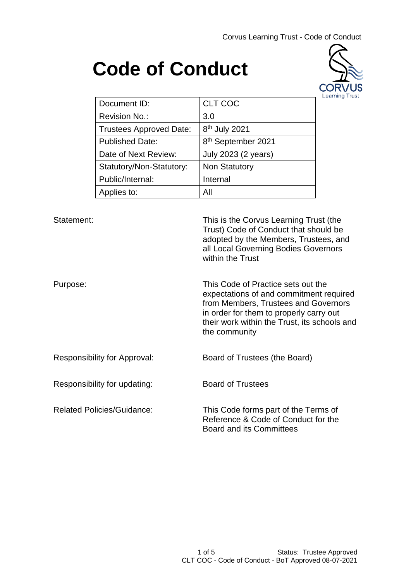Corvus Learning Trust - Code of Conduct

# **Code of Conduct**



| Document ID:                   | <b>CLT COC</b>                 |
|--------------------------------|--------------------------------|
| <b>Revision No.:</b>           | 3.0                            |
| <b>Trustees Approved Date:</b> | 8 <sup>th</sup> July 2021      |
| <b>Published Date:</b>         | 8 <sup>th</sup> September 2021 |
| Date of Next Review:           | July 2023 (2 years)            |
| Statutory/Non-Statutory:       | <b>Non Statutory</b>           |
| Public/Internal:               | Internal                       |
| Applies to:                    | Αll                            |

Statement: This is the Corvus Learning Trust (the Trust) Code of Conduct that should be adopted by the Members, Trustees, and all Local Governing Bodies Governors within the Trust

Purpose: This Code of Practice sets out the expectations of and commitment required from Members, Trustees and Governors in order for them to properly carry out their work within the Trust, its schools and the community

Responsibility for Approval: Board of Trustees (the Board)

Responsibility for updating: Board of Trustees

Related Policies/Guidance: This Code forms part of the Terms of Reference & Code of Conduct for the Board and its Committees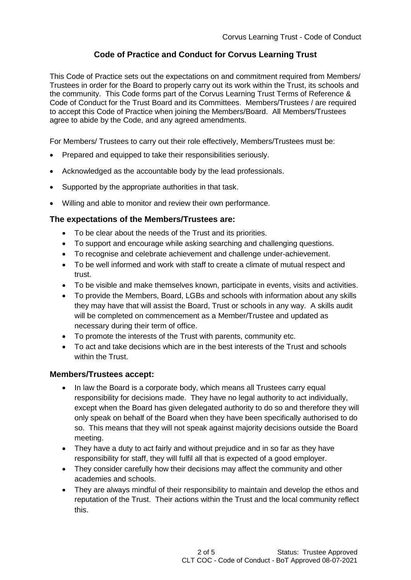# **Code of Practice and Conduct for Corvus Learning Trust**

This Code of Practice sets out the expectations on and commitment required from Members/ Trustees in order for the Board to properly carry out its work within the Trust, its schools and the community. This Code forms part of the Corvus Learning Trust Terms of Reference & Code of Conduct for the Trust Board and its Committees. Members/Trustees / are required to accept this Code of Practice when joining the Members/Board. All Members/Trustees agree to abide by the Code, and any agreed amendments.

For Members/ Trustees to carry out their role effectively, Members/Trustees must be:

- Prepared and equipped to take their responsibilities seriously.
- Acknowledged as the accountable body by the lead professionals.
- Supported by the appropriate authorities in that task.
- Willing and able to monitor and review their own performance.

## **The expectations of the Members/Trustees are:**

- To be clear about the needs of the Trust and its priorities.
- To support and encourage while asking searching and challenging questions.
- To recognise and celebrate achievement and challenge under-achievement.
- To be well informed and work with staff to create a climate of mutual respect and trust.
- To be visible and make themselves known, participate in events, visits and activities.
- To provide the Members, Board, LGBs and schools with information about any skills they may have that will assist the Board, Trust or schools in any way. A skills audit will be completed on commencement as a Member/Trustee and updated as necessary during their term of office.
- To promote the interests of the Trust with parents, community etc.
- To act and take decisions which are in the best interests of the Trust and schools within the Trust.

## **Members/Trustees accept:**

- In law the Board is a corporate body, which means all Trustees carry equal responsibility for decisions made. They have no legal authority to act individually, except when the Board has given delegated authority to do so and therefore they will only speak on behalf of the Board when they have been specifically authorised to do so. This means that they will not speak against majority decisions outside the Board meeting.
- They have a duty to act fairly and without prejudice and in so far as they have responsibility for staff, they will fulfil all that is expected of a good employer.
- They consider carefully how their decisions may affect the community and other academies and schools.
- They are always mindful of their responsibility to maintain and develop the ethos and reputation of the Trust. Their actions within the Trust and the local community reflect this.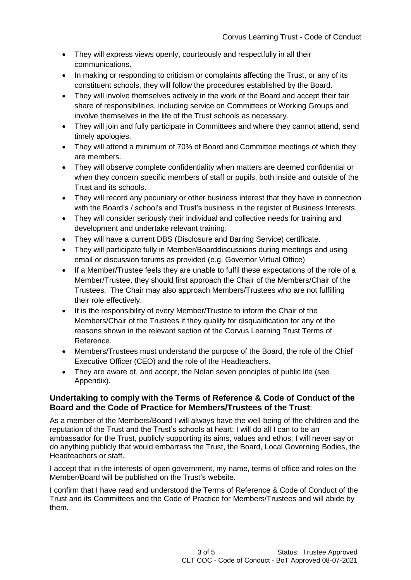- They will express views openly, courteously and respectfully in all their communications.
- In making or responding to criticism or complaints affecting the Trust, or any of its constituent schools, they will follow the procedures established by the Board.
- They will involve themselves actively in the work of the Board and accept their fair share of responsibilities, including service on Committees or Working Groups and involve themselves in the life of the Trust schools as necessary.
- They will join and fully participate in Committees and where they cannot attend, send timely apologies.
- They will attend a minimum of 70% of Board and Committee meetings of which they are members.
- They will observe complete confidentiality when matters are deemed confidential or when they concern specific members of staff or pupils, both inside and outside of the Trust and its schools.
- They will record any pecuniary or other business interest that they have in connection with the Board's / school's and Trust's business in the register of Business Interests.
- They will consider seriously their individual and collective needs for training and development and undertake relevant training.
- They will have a current DBS (Disclosure and Barring Service) certificate.
- They will participate fully in Member/Boarddiscussions during meetings and using email or discussion forums as provided (e.g. Governor Virtual Office)
- If a Member/Trustee feels they are unable to fulfil these expectations of the role of a Member/Trustee, they should first approach the Chair of the Members/Chair of the Trustees. The Chair may also approach Members/Trustees who are not fulfilling their role effectively.
- It is the responsibility of every Member/Trustee to inform the Chair of the Members/Chair of the Trustees if they qualify for disqualification for any of the reasons shown in the relevant section of the Corvus Learning Trust Terms of Reference.
- Members/Trustees must understand the purpose of the Board, the role of the Chief Executive Officer (CEO) and the role of the Headteachers.
- They are aware of, and accept, the Nolan seven principles of public life (see Appendix).

## **Undertaking to comply with the Terms of Reference & Code of Conduct of the Board and the Code of Practice for Members/Trustees of the Trust**:

As a member of the Members/Board I will always have the well-being of the children and the reputation of the Trust and the Trust's schools at heart; I will do all I can to be an ambassador for the Trust, publicly supporting its aims, values and ethos; I will never say or do anything publicly that would embarrass the Trust, the Board, Local Governing Bodies, the Headteachers or staff.

I accept that in the interests of open government, my name, terms of office and roles on the Member/Board will be published on the Trust's website.

I confirm that I have read and understood the Terms of Reference & Code of Conduct of the Trust and its Committees and the Code of Practice for Members/Trustees and will abide by them.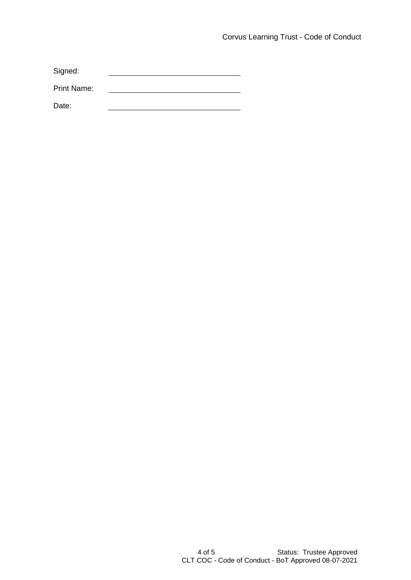Signed:

Print Name:

Date: